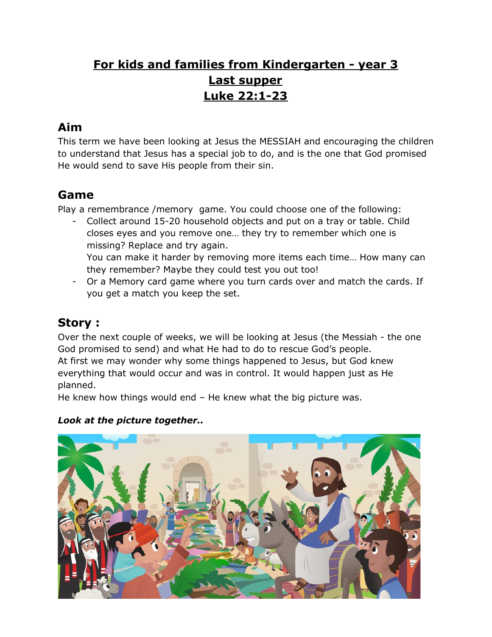# **For kids and families from Kindergarten - year 3 Last supper Luke 22:1-23**

## **Aim**

This term we have been looking at Jesus the MESSIAH and encouraging the children to understand that Jesus has a special job to do, and is the one that God promised He would send to save His people from their sin.

## **Game**

Play a remembrance /memory game. You could choose one of the following:

- Collect around 15-20 household objects and put on a tray or table. Child closes eyes and you remove one… they try to remember which one is missing? Replace and try again.

You can make it harder by removing more items each time… How many can they remember? Maybe they could test you out too!

- Or a Memory card game where you turn cards over and match the cards. If you get a match you keep the set.

### **Story :**

Over the next couple of weeks, we will be looking at Jesus (the Messiah - the one God promised to send) and what He had to do to rescue God's people. At first we may wonder why some things happened to Jesus, but God knew everything that would occur and was in control. It would happen just as He planned.

He knew how things would end – He knew what the big picture was.

#### *Look at the picture together..*

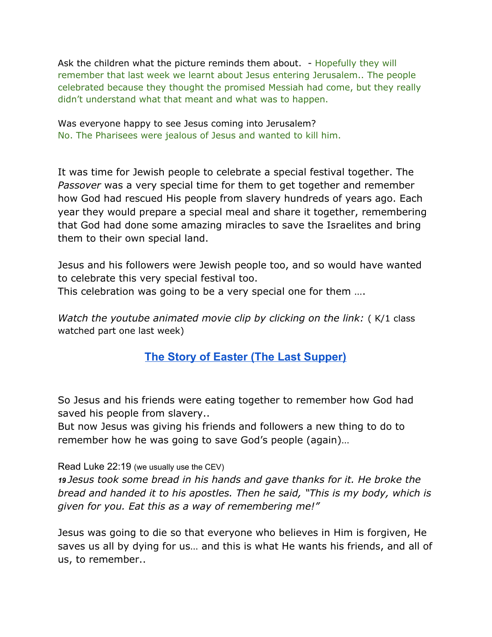Ask the children what the picture reminds them about. - Hopefully they will remember that last week we learnt about Jesus entering Jerusalem.. The people celebrated because they thought the promised Messiah had come, but they really didn't understand what that meant and what was to happen.

Was everyone happy to see Jesus coming into Jerusalem? No. The Pharisees were jealous of Jesus and wanted to kill him.

It was time for Jewish people to celebrate a special festival together. The *Passover* was a very special time for them to get together and remember how God had rescued His people from slavery hundreds of years ago. Each year they would prepare a special meal and share it together, remembering that God had done some amazing miracles to save the Israelites and bring them to their own special land.

Jesus and his followers were Jewish people too, and so would have wanted to celebrate this very special festival too.

This celebration was going to be a very special one for them ….

*Watch the youtube animated movie clip by clicking on the link:* ( K/1 class watched part one last week)

### **The Story of Easter (The Last [Supper\)](https://www.youtube.com/watch?v=SigoALSS1R8)**

So Jesus and his friends were eating together to remember how God had saved his people from slavery..

But now Jesus was giving his friends and followers a new thing to do to remember how he was going to save God's people (again)…

Read Luke 22:19 (we usually use the CEV)

*19 Jesus took some bread in his hands and gave thanks for it. He broke the bread and handed it to his apostles. Then he said, "This is my body, which is given for you. Eat this as a way of remembering me!"*

Jesus was going to die so that everyone who believes in Him is forgiven, He saves us all by dying for us… and this is what He wants his friends, and all of us, to remember..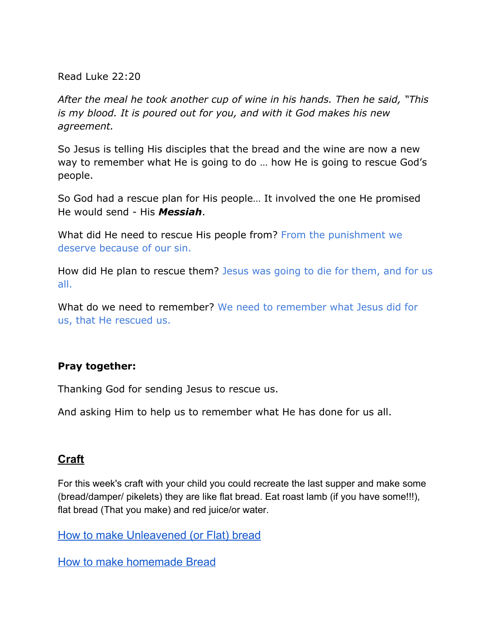Read Luke 22:20

*After the meal he took another cup of wine in his hands. Then he said, "This is my blood. It is poured out for you, and with it God makes his new agreement.*

So Jesus is telling His disciples that the bread and the wine are now a new way to remember what He is going to do … how He is going to rescue God's people.

So God had a rescue plan for His people… It involved the one He promised He would send - His *Messiah*.

What did He need to rescue His people from? From the punishment we deserve because of our sin.

How did He plan to rescue them? Jesus was going to die for them, and for us all.

What do we need to remember? We need to remember what Jesus did for us, that He rescued us.

#### **Pray together:**

Thanking God for sending Jesus to rescue us.

And asking Him to help us to remember what He has done for us all.

#### **Craft**

For this week's craft with your child you could recreate the last supper and make some (bread/damper/ pikelets) they are like flat bread. Eat roast lamb (if you have some!!!), flat bread (That you make) and red juice/or water.

How to make [Unleavened](https://www.alyonascooking.com/unleavened-bread-matzah/) (or Flat) bread

How to make [homemade](https://www.tasteofhome.com/recipes/basic-homemade-bread/) Bread